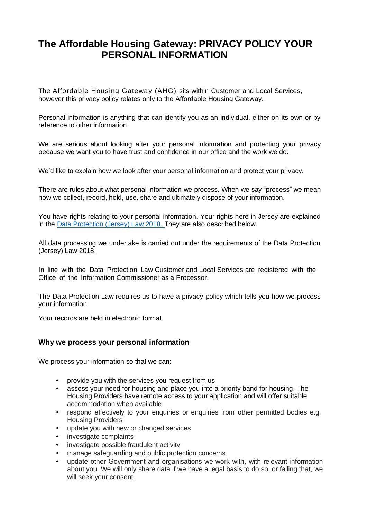# **The Affordable Housing Gateway: PRIVACY POLICY YOUR PERSONAL INFORMATION**

The Affordable Housing Gateway (AHG) sits within Customer and Local Services, however this privacy policy relates only to the Affordable Housing Gateway.

Personal information is anything that can identify you as an individual, either on its own or by reference to other information.

We are serious about looking after your personal information and protecting your privacy because we want you to have trust and confidence in our office and the work we do.

We'd like to explain how we look after your personal information and protect your privacy.

There are rules about what personal information we process. When we say "process" we mean how we collect, record, hold, use, share and ultimately dispose of your information.

You have rights relating to your personal information. Your rights here in Jersey are explained in the Data [Protection](https://www.jerseylaw.je/laws/enacted/Pages/L-03-2018.aspx) (Jersey) Law 2018. They are also described below.

All data processing we undertake is carried out under the requirements of the Data Protection (Jersey) Law 2018.

In line with the Data Protection Law Customer and Local Services are registered with the Office of the Information Commissioner as a Processor.

The Data Protection Law requires us to have a privacy policy which tells you how we process your information.

Your records are held in electronic format.

#### **Why we process your personal information**

We process your information so that we can:

- provide you with the services you request from us
- assess your need for housing and place you into a priority band for housing. The Housing Providers have remote access to your application and will offer suitable accommodation when available.
- respond effectively to your enquiries or enquiries from other permitted bodies e.g. Housing Providers
- update you with new or changed services
- investigate complaints
- investigate possible fraudulent activity
- manage safeguarding and public protection concerns
- update other Government and organisations we work with, with relevant information about you. We will only share data if we have a legal basis to do so, or failing that, we will seek your consent.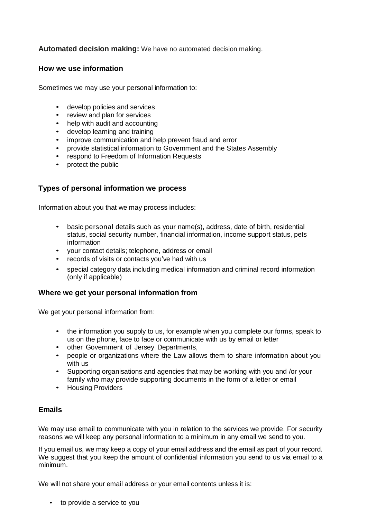# **Automated decision making:** We have no automated decision making.

#### **How we use information**

Sometimes we may use your personal information to:

- develop policies and services
- review and plan for services
- help with audit and accounting
- develop learning and training
- improve communication and help prevent fraud and error
- provide statistical information to Government and the States Assembly
- respond to Freedom of Information Requests
- protect the public

#### **Types of personal information we process**

Information about you that we may process includes:

- basic personal details such as your name(s), address, date of birth, residential status, social security number, financial information, income support status, pets information
- your contact details; telephone, address or email
- records of visits or contacts you've had with us
- special category data including medical information and criminal record information (only if applicable)

#### **Where we get your personal information from**

We get your personal information from:

- the information you supply to us, for example when you complete our forms, speak to us on the phone, face to face or communicate with us by email or letter
- other Government of Jersey Departments,
- people or organizations where the Law allows them to share information about you with us
- Supporting organisations and agencies that may be working with you and /or your family who may provide supporting documents in the form of a letter or email
- Housing Providers

# **Emails**

We may use email to communicate with you in relation to the services we provide. For security reasons we will keep any personal information to a minimum in any email we send to you.

If you email us, we may keep a copy of your email address and the email as part of your record. We suggest that you keep the amount of confidential information you send to us via email to a minimum.

We will not share your email address or your email contents unless it is:

• to provide a service to you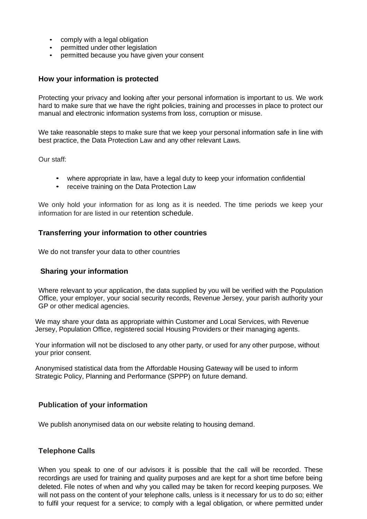- comply with a legal obligation
- permitted under other legislation
- permitted because you have given your consent

#### **How your information is protected**

Protecting your privacy and looking after your personal information is important to us. We work hard to make sure that we have the right policies, training and processes in place to protect our manual and electronic information systems from loss, corruption or misuse.

We take reasonable steps to make sure that we keep your personal information safe in line with best practice, the Data Protection Law and any other relevant Laws.

Our staff:

- where appropriate in law, have a legal duty to keep your information confidential
- receive training on the Data Protection Law

We only hold your information for as long as it is needed. The time periods we keep your information for are listed in our retention schedule.

#### **Transferring your information to other countries**

We do not transfer your data to other countries

#### **Sharing your information**

Where relevant to your application, the data supplied by you will be verified with the Population Office, your employer, your social security records, Revenue Jersey, your parish authority your GP or other medical agencies.

We may share your data as appropriate within Customer and Local Services, with Revenue Jersey, Population Office, registered social Housing Providers or their managing agents.

Your information will not be disclosed to any other party, or used for any other purpose, without your prior consent.

Anonymised statistical data from the Affordable Housing Gateway will be used to inform Strategic Policy, Planning and Performance (SPPP) on future demand.

#### **Publication of your information**

We publish anonymised data on our website relating to housing demand.

#### **Telephone Calls**

When you speak to one of our advisors it is possible that the call will be recorded. These recordings are used for training and quality purposes and are kept for a short time before being deleted. File notes of when and why you called may be taken for record keeping purposes. We will not pass on the content of your telephone calls, unless is it necessary for us to do so; either to fulfil your request for a service; to comply with a legal obligation, or where permitted under